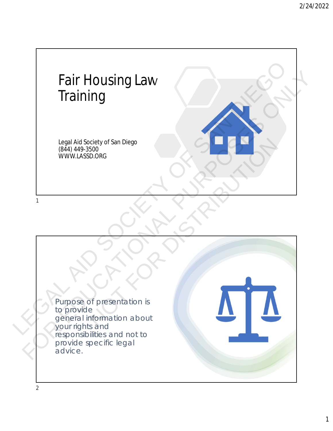

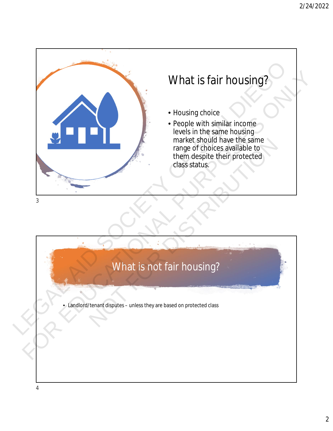

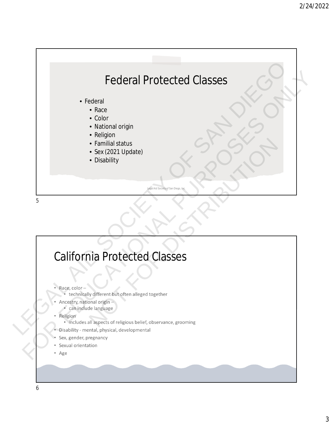

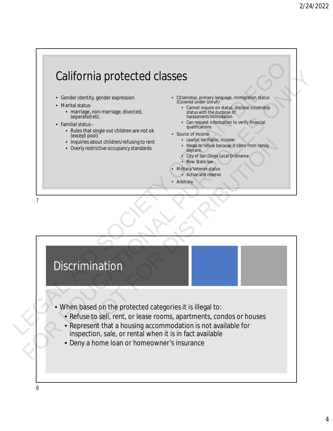

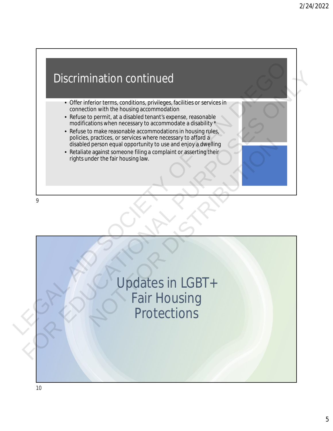



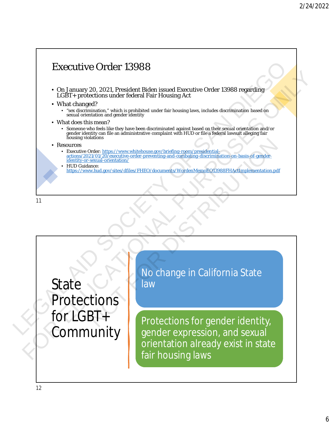

State **Protections** for LGBT+ **Community**  No change in California State law

Protections for gender identity, gender expression, and sexual orientation already exist in state fair housing laws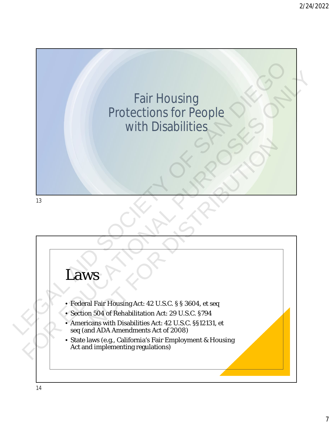

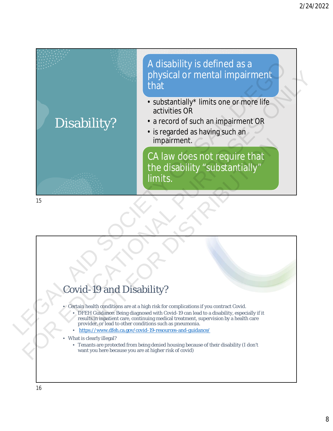

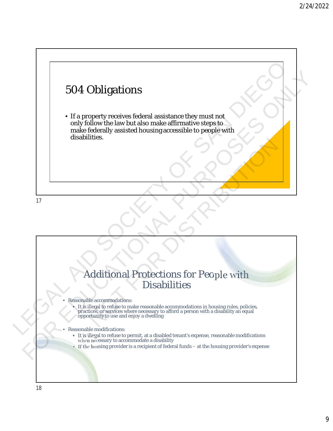

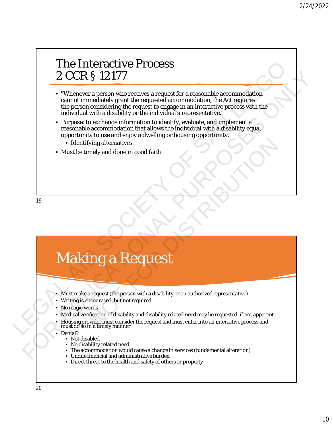# The Interactive Process 2 CCR § 12177

- "Whenever a person who receives a request for a reasonable accommodation cannot immediately grant the requested accommodation, the Act requires the person considering the request to engage in an interactive process with the individual with a disability or the individual's representative." The Interactive Process request for a reasonable accommodation<br>
cannot immediately grant the requested accommodation, the Act requires<br>
the person considering the requested accommodation, the Act requires<br>
the person consi CORES 12177<br>
• "Whenever a person who receives a request for a responsible accommodation<br>
cannot inmediately grant the receiversed accommodation. The Account of Accounts<br>
interviewers to every many process of the professor
	- Purpose: to exchange information to identify, evaluate, and implement a reasonable accommodation that allows the individual with a disability equal opportunity to use and enjoy a dwelling or housing opportunity.
		- Identifying alternatives
	- Must be timely and done in good faith

19

# Making a Request

- Must make a request (the person with a disability or an authorized representative)
- Writing is encouraged, but not required
- No magic words
- Medical verification of disability and disability related need may be requested, if not apparent
- Housing provider must consider the request and must enter into an interactive process and must do so in a timely manner The person with a disability or an authorized representative)<br>
The person with a disability or an authorized representative)<br>
The person with a disability or an authorized representative)<br>
The person with a disability or a
- Denial?
	- Not disabled
	- No disability related need
	- The accommodation would cause a change in services (fundamental alteration)
	- Undue financial and administrative burden
	- Direct threat to the health and safety of others or property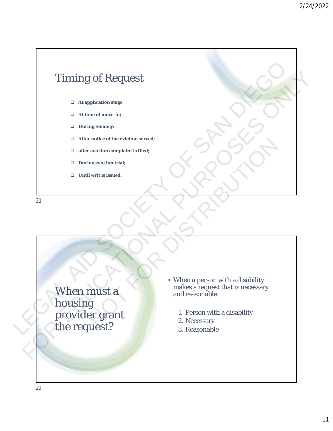

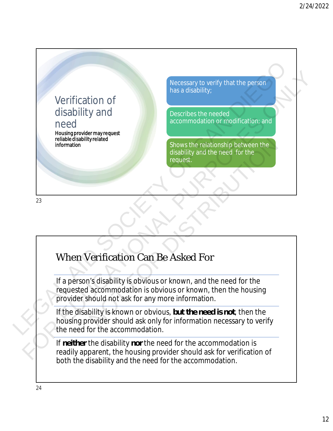## Verification of disability and need

Housing provider may request reliable disability related information

Necessary to verify that the person has a disability;

Describes the needed accommodation or modification; and

Shows the relationship between the disability and the need for the request.

23

# When Verification Can Be Asked For

If a person's disability is obvious or known, and the need for the requested accommodation is obvious or known, then the housing provider should not ask for any more information. Shows the relationship between the<br>disability and the need for the<br>request.<br>The request of the<br>respect of the<br>example of the read for the<br>accommodation is obvious or known, and the need for the<br>accommodation is obvious or

If the disability is known or obvious, **but the need is not**, then the housing provider should ask only for information necessary to verify the need for the accommodation. Necessary to verify that the person<br>
Nerification of<br>
Insea disability<br>
necessary to verify that the person<br>
ness at disability<br>
necessary to verify that the person<br>
requested<br>
necessary<br>
necessary to were incomplements<br>
o For the person of the state of the state of the state of the state of the state of the commodation of modification and<br>relate distributions and relate distribution of the commodation of modification and<br>relate distribution

If **neither** the disability **nor** the need for the accommodation is readily apparent, the housing provider should ask for verification of both the disability and the need for the accommodation.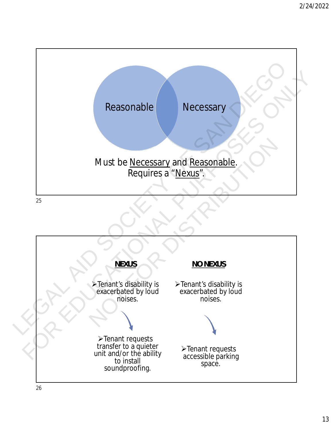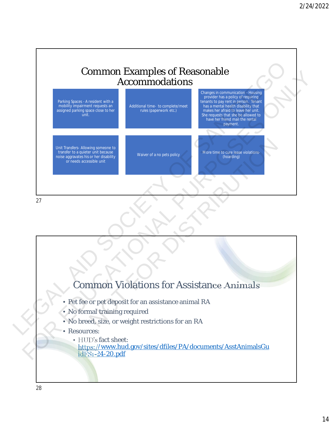# Common Examples of Reasonable Accommodations



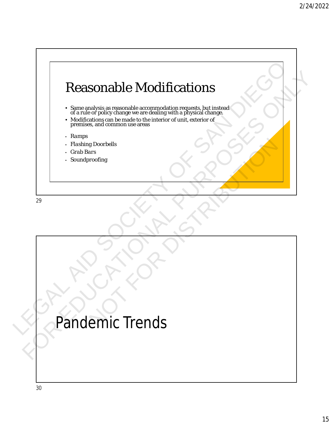

# Pandemic Trends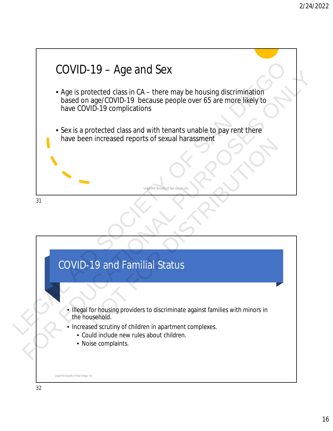

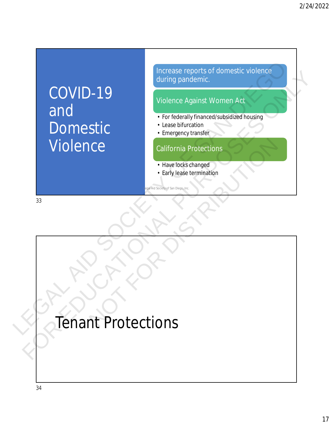# COVID-19 and Domestic Violence COVID-19<br>
and<br>
Domestic<br>
Violence Against Women Act<br>
Legal Antonica Against Women Act<br>
Legal Antonica Protections<br>
Legal Antonica Protections<br>
Legal Antonica Protections<br>
Legal Antonica Protections<br>
Legal Antonica Protecti For the contraction contractic<br>
COVID-19<br>
and<br>
Domestic<br>
Violence<br>
Violence<br>
California Protections<br>
How the Collision contract of the contract of the contract of the contract of the contract of the contract of the contrac

Increase reports of domestic violence during pandemic.

### Violence Against Women Act

- For federally financed/subsidized housing
- Lease bifurcation
- Emergency transfer

#### California Protections

- Have locks changed
- Early lease termination

Legal Aid Society of San Diego, Inc.

# Tenant Protections California Protections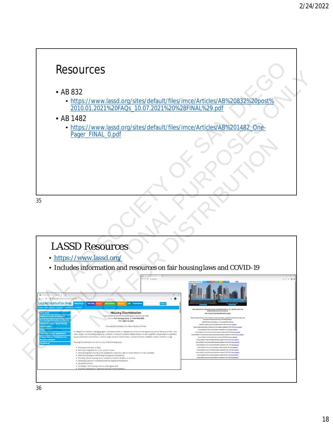